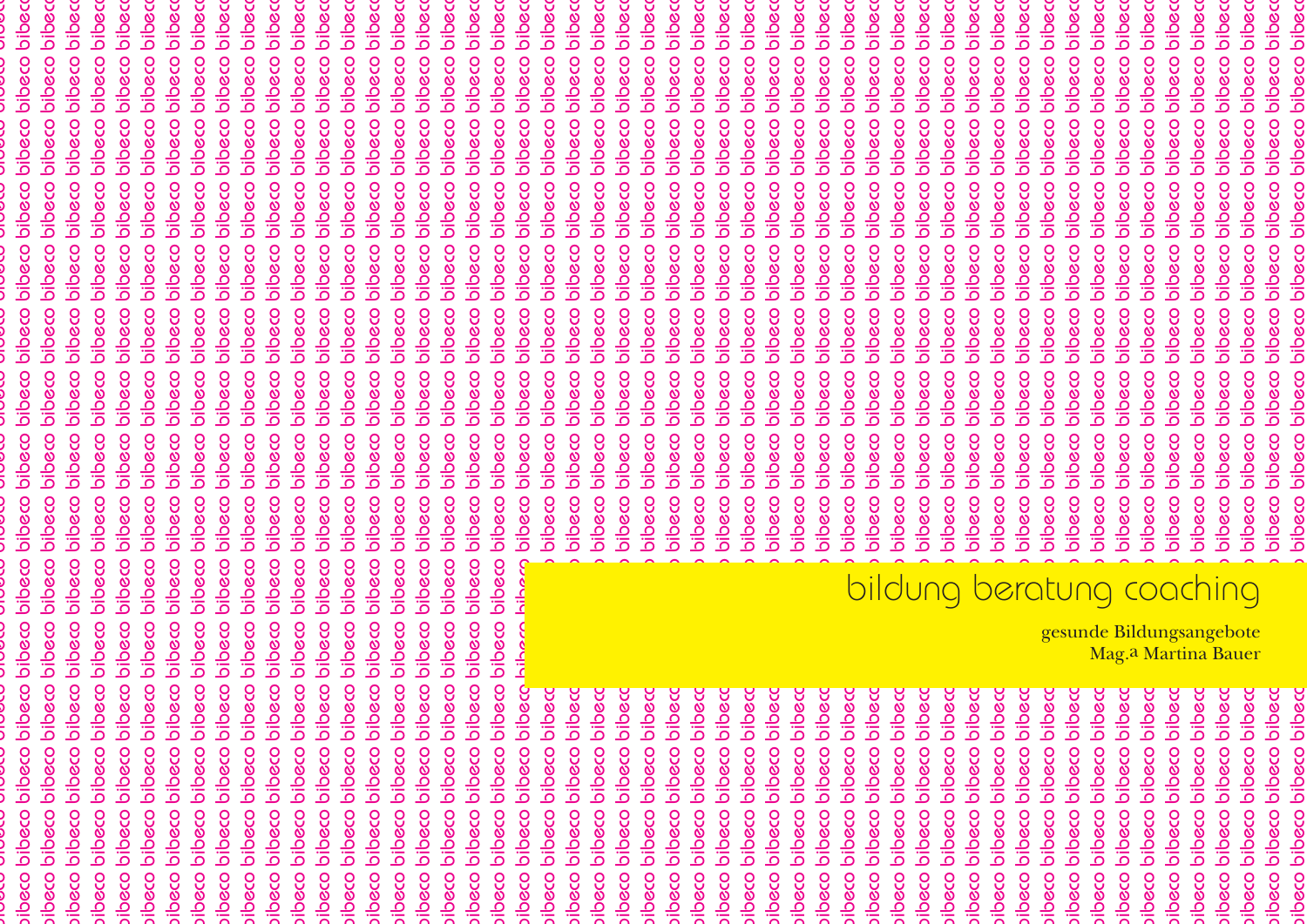bibeco bibeco bibeco bibeco bibeco bibeco bibeco bibeco bibeco bibeco bibeco bibeco bibeco bibeco bibeco bibeco bibeco bibeco bibeco bibeco bibeco bibeco bibeco bibeco bibeco bibeco bibeco bibeco bibeco bibeco bibeco bibeco bibeco bibeco bibeco bibeco bibeco bibeco bibeco bibeco bibeco bibeco bibeco bibeco bibeco bibeco bibeco bibeco bibeco bibeco bibeco bibeco bibeco bibeco bibeco bibeco bibeco bibeco bibeco bibeco bibeco bibeco bibeco bibeco bibeco bibeco bibeco bibeco bibeco bibeco bibeco bibeco bibeco bibeco bibeco bibeco bibeco bibeco bibeco bibeco bibeco bibeco bibeco bibeco bibeco bibeco bibeco bibeco bibeco bibeco bibeco bibeco bibeco bibeco bibeco bibeco bibeco bibeco bibeco bibeco bibeco bibeco bibeco bibeco bibeco bibeco bibeco bibeco bibeco bibeco bibeco bibeco bibeco bibeco bibeco bibeco bibeco bibeco bibeco bibeco bibeco bibeco bibeco bibeco bibeco bibeco bibeco bibeco bibeco bibeco bibeco bibeco bibeco bibeco bibeco bibeco bibeco bibeco bibeco bibeco bibeco bibeco bibeco bibeco bibeco bibeco bibeco bibeco bibeco bibeco bibeco bibeco bibeco bibeco bibeco bibeco bibeco bibeco bibeco bibeco bibeco bibeco bibeco bibeco bibeco bibeco bibeco bibeco bibeco bibeco bibeco bibeco bibeco bibeco bibeco bibeco bibeco bibeco bibeco bibeco bibeco bibeco bibeco bibeco bibeco bibeco bibeco bibeco bibeco bibeco bibeco bibeco bibeco bibeco bibeco bibeco bibeco bibeco bibeco bibeco bibeco bibeco bibeco bibeco bibeco bibeco bibeco bibeco bibeco bibeco bibeco bibeco bibeco bibeco bibeco bibeco bibeco bibeco bibeco bibeco bibeco bibeco bibeco bibeco bibeco bibeco bibeco bibeco bibeco bibeco bibeco bibeco bibeco bibeco bibeco bibeco bibeco bibeco bibeco bibeco bibeco bibeco bibeco bibeco bibeco bibeco bibeco bibeco bibeco bibeco bibeco bibeco bibeco bibeco bibeco bibeco bibeco bibeco bibeco bibeco bibeco bibeco bibeco bibeco bibeco bibeco bibeco bibeco bibeco bibeco bibeco bibeco bibeco bibeco bibeco bibeco bibeco bibeco bibeco bibeco bibeco bibeco bibeco bibeco bibeco bibeco bibeco bibeco bibeco bibeco bibeco bibeco bibeco bibeco bibeco bibeco bibeco bibeco bibeco bibeco bibeco bibeco bibeco bibeco bibeco bibeco bibeco bibeco bibeco bibeco bibeco bibeco bibeco bibeco bibeco bibeco bibeco bibeco bibeco bibeco bibeco bibeco bibeco bibeco bibeco bibeco bibeco bibeco bibeco bibeco bibeco bibeco bibeco bibeco bibeco bibeco bibeco bibeco bibeco bibeco bibeco bibeco bibeco bibeco bibeco bibeco bibeco bibeco bibeco bibeco bibeco bibeco bibeco bibeco bibeco bibeco bibeco bibeco bibeco bibeco bibeco bibeco bibeco bibeco bibeco bibeco bibeco bibeco bibeco bibeco bibeco bibeco bibeco bibeco bibeco bibeco bibeco bibeco bibeco bibeco bibeco bibeco bibeco bibeco bibeco bibeco bibeco bibeco bibeco bibeco bibeco bibeco bibeco bibeco bibeco bibeco bibeco bibeco bibeco bibeco bibeco bibeco bibeco bibeco bibeco bibeco bibeco bibeco bibeco bibeco bibeco bibeco bibeco bibeco bibeco bibeco bibeco bibeco bibeco bibeco bibeco bibeco bibeco bibeco bibeco bibeco bibeco bibeco bibeco bibeco bibeco bibeco bibeco bibeco bibeco bibeco bibeco bibeco bibeco bibeco bibeco bibeco bibeco bibeco bibeco bibeco bibeco bibeco bibeco bibeco bibeco bibeco bibeco bibeco bibeco bibeco bibeco bibeco bibeco bibeco bibeco bibeco bibeco bibeco bibeco bibeco bibeco bibeco bibeco bibeco bibeco bibeco bibeco bibeco bibeco bibeco bibeco bibeco bibeco bibeco bibeco bibeco bibeco bibeco bibeco bibeco bibeco bibeco bibeco bibeco bibeco bibeco bibeco bibeco bibeco bibeco bibeco bibeco bibeco bibeco bibeco bibeco bibeco bibeco bibeco bibeco bibeco bibeco bibeco bibeco bibeco bibeco bibeco bibec $\epsilon \to -$  bibeco bibeco bibeco bibeco bibeco bibeco bibeco bibeco bibeco bibeco  $\epsilon$ bibeco bibeco bibeco bibeco bibeco bibeco bibeco bibeco bibeco bibeco bibeco bibeco bibeco bibeco bibeco bibeco bibeco bibeco bibeco bibeco bibeco bibeco bibeco bibeco bibeco bibeco bibeco bibeco bibeco bibeco bibeco bibec bibeco bibeco bibeco bibec $\mathfrak{c}$  and  $\mathfrak{c}$  bibeco bibeco bibeco bibeco bibeco bibeco bibeco bibeco bibeco bibeco bibeco  $\mathfrak{c}$ bibeco bibeco bibeco bibec $\epsilon$  bibeco bibeco bibeco bibeco bibeco bibeco bibeco bibeco bibeco bibeco  $\epsilon$ bibeco bibeco bibeco bibeco bibeco bibeco bibeco bibeco bibeco bibeco bibeco bibeco bibeco bibeco bibeco bibeco bibeco bibeco bibec $\epsilon$  and  $\cap$  bibeco bibeco bibeco bibeco bibeco bibeco bibeco bibeco bibeco  $\epsilon$ bibeco bibeco bibeco bibec $\epsilon \longrightarrow$  bibeco bibeco bibeco bibeco bibeco bibeco bibeco bibeco bibeco bibeco  $\epsilon$ bibeco bibeco bibeco bibec $\epsilon$  and  $\bar{\infty}$  bibeco bibeco bibeco bibeco bibeco bibeco bibeco bibeco bibeco bibeco  $\epsilon$ bibeco bibeco bibeco bibec $\epsilon \to \infty$  bibeco bibeco bibeco bibeco bibeco bibeco bibeco bibeco bibeco bibeco  $\epsilon$ bibeco bibeco bibeco bibec $\frac{20}{\sqrt{2}}\to$  bibeco bibeco bibeco bibeco bibeco bibeco bibeco bibeco bibeco  $\frac{20}{\sqrt{2}}\times$ bibeco bibeco bibeco bibec $\epsilon=\pm$  bibeco bibeco bibeco bibeco bibeco bibeco bibeco bibeco bibeco bibeco  $\epsilon$ bibeco bibeco bibeco bibec $\epsilon$  .  $\Xi$   $\Xi$  ,  $\bigcap$  , bibeco bibeco bibeco bibeco bibeco bibeco bibeco bibeco bibeco bibeco bibeco bibeco bibeco bibeco bibeco bibeco bibeco bibeco bibeco bibeco bibeco bibeco bibeco bibeco bibeco bibeco bibeco bibeco bibeco bibeco bibeco bibeco bibeco bibeco bibeco bibeco bibeco bibeco bibeco bibeco bibeco bibec $\epsilon$   $\qquad$   $\qquad$   $\sim$   $\pm$   $\qquad$   $\sim$  bibeco bibeco bibeco bibeco bibeco bibeco bibeco bibeco bibeco bibeco bibeco bibeco bibeco bibeco bibeco bibeco bibeco bibeco bibeco bibeco bibeco bibeco bibeco bib bibeco bibeco bibeco bibec $\epsilon = \frac{1}{2}$  of  $\epsilon > 0$  bibeco bibeco bibeco bibeco bibeco bibeco bibeco bibeco bibeco bibeco bibeco bibeco bibeco bibeco bibeco bibeco bibeco bibeco bibeco bibeco bibeco bibeco bibeco bibeco bib bibeco bibeco bibeco bibec $\epsilon = \frac{1}{2}$  bibeco bibeco bibeco bibeco bibeco bibeco bibeco bibeco bibeco  $\epsilon$ bibeco bibeco bibec $\frac{m}{c}$   $\frac{n}{c}$   $\frac{n}{c}$  bibeco bibeco bibeco bibeco bibeco bibeco bibeco bibeco bibeco bibeco bibeco  $\frac{n}{c}$ bibeco bibeco bibec $\epsilon-\bar{5}\geq 1$  of bibeco bibeco bibeco bibeco bibeco bibeco bibeco bibeco bibeco bibeco  $\epsilon$ bibeco bibeco bibeco bibeco bibeco bibeco bibeco bibeco bibeco bibeco bibeco bibeco bibeco bibeco bibeco bibecc bibecc bibecc bibecc bibecc bibecc bibecc bibecc bibecc bibecc bibecc bibecc bibecc bibecc bibecc bibecc bibecc bibecc bibecc bibecc bibecc bibecc bibecc bibeco bibecc bibecc bibecc bibecc bibecc bibecc bibecc bibeco bibecc bibeco bibeco bibeco bibeco bibeco bibeco bibeco bibeco bibeco bibeco bibeco bibeco bibeco bibeco bibeco bibeco bibeco bibeco bibeco oibeco oibeco bibeco bibeco bibeco bibaco bibeco bibeco bibeco bibeco bibeco bibeco bibaco bibeco bibeco bibeco bibeco bibeco bibeco bibeco bibeco bibeco bibeco bibeco bibeco bibeco bibeco bibeco bibeco bibeco bibeco bibeco bibeco bibeco bibeco bibeco bibeco bibeco bibeco bibeco bibeco bibeco bibeco bibeco bibeco bibeco bibeco bibeco bibeco bibeco bibeco bibeco bibeco bibeco bibeco bibeco bibeco bibeco bibeco bibeco bibeco bibeco bibeco bibeco bibeco bibeco bibeco bibeco bibeco bibeco bibeco bibeco bibeco bibeco bibeco bibeco bibeco bibeco bibeco bibeco bibeco bibeco bibeco bibeco bibeco bibeco bibeco bibeco bibeco bibeco bibeco bibeco bibeco bibeco bibeco bibeco bibeco bibeco bibeco bibeco bibeco bibeco bibeco bibeco bibeco bibeco bibeco bibeco bibeco bibeco bibeco bibeco bibeco bibeco bibeco bibeco bibeco bibeco bibeco bibeco bibeco bibeco bibeco bibeco bibeco bibeco bibeco bibeco bibeco bibeco bibeco bibeco bibeco bibeco bibeco bibeco bibeco bibeco bibeco bibeco bibeco bibeco bibeco bibeco bibeco bibeco bibeco bibeco bibeco bibeco bibeco bibeco bibeco bibeco bibeco bibeco bibeco bibeco bibeco bibeco bibeco bibeco bibeco bibeco bibeco bibeco bibeco bibeco bibeco bibeco bibeco bibeco bibeco bibeco bibeco bibeco bibeco bibeco bibeco bibeco bibeco bibeco bibeco bibeco bibeco bibeco bibeco bibeco bibeco bibeco bibeco bibeco bibeco bibeco bibeco bibeco bibeco bibeco bibeco bibeco bibeco bibeco bibeco bibeco bibeco bibeco bibeco bibeco bibeco bibeco bibeco bibeco bibeco bibeco bibeco bibeco bibeco bibeco bibeco bibeco bibeco bibeco bibeco oibeco oibeco oibeco bibeco bibeco oibeco oibeco bibeco oibeco oibeco oibeco oibeco oibeco oibeco oibeco oibeco oibeco oibeco oibeco oibeco oibeco bibeco bibeco bibeco bibeco bibeco bibeco bibeco bibeco bibeco bibeco bibeco bibeco bibeco bibeco bibeco bibeco bibeco bibeco bibeco bibeco bibeco bibeco bibeco bibeco bibeco bibeco oibeco oibeco oibeco oibeco bibeco bibeco bibeco oibeco bibeco bibeco bibeco bibeco bibeco bibeco Mag.<sup>a</sup> Martina Bauer bibeco bibeco bibeco bibeco bibeco bibeco bibeco bibeco bibeco bibeco bibeco oibeco 8 oibeco oibeco oibeco oibeco oibeco oibeco bibecc oibeco bibecc bibecc bibecc bibecc bibecc bibecc bibecc pacic paqic pacic paqic bibe bibe bibeco bibeco bibeco bibeco bibeco bibeco bibeco oibeco oibeco bibeco bibeco bibeco bibeco bibeco bibeco bibeco bibeco bibeco bibeco bibeco bibeco bibeco oibeco oibeco bibeco oibeco bibeco oibeco bibeco bibeco oibeco bibeco bibeco bibeco bibeco bibeco bibeco bibeco bibeco bibeco bibeco bibeco bibeco bibeco bibeco bibeco bibeco bibeco bibeco bibeco bibeco bibeco bibeco oibeco bibeco bibeco bibeco bibeco bibeco oibeco oibeco bibeco oibeco bibeco oibeco bibeco osolic osolic pibeco oibeco pibeco oibeco oibeco oibeco osolic oibeco osolic opacio oibeco osolic oibeco osolic oibeco oibeco oibeco oibeco oibeco oibeco oibeco oibeco oibeco oibeco opacio oibeco oibeco oibeco oibeco oibeco ibeco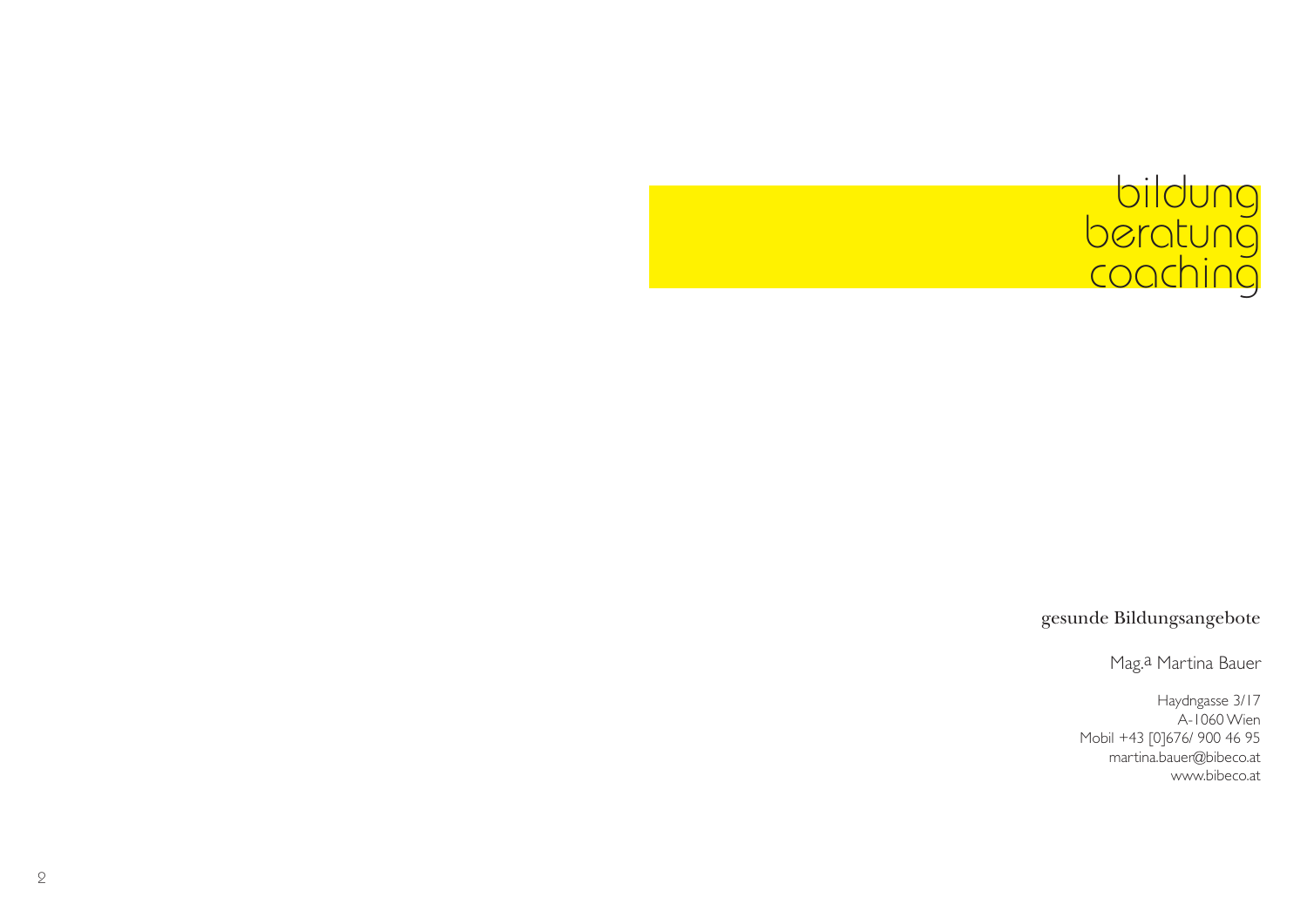# bildung<br>beratung<br>coaching

gesunde Bildungsangebote

Mag. a Martina Bauer

Haydngasse 3/17 A-1060 Wien Mobil +43 [0]676/ 900 46 95 martina.bauer@bibeco.at www.bibeco.at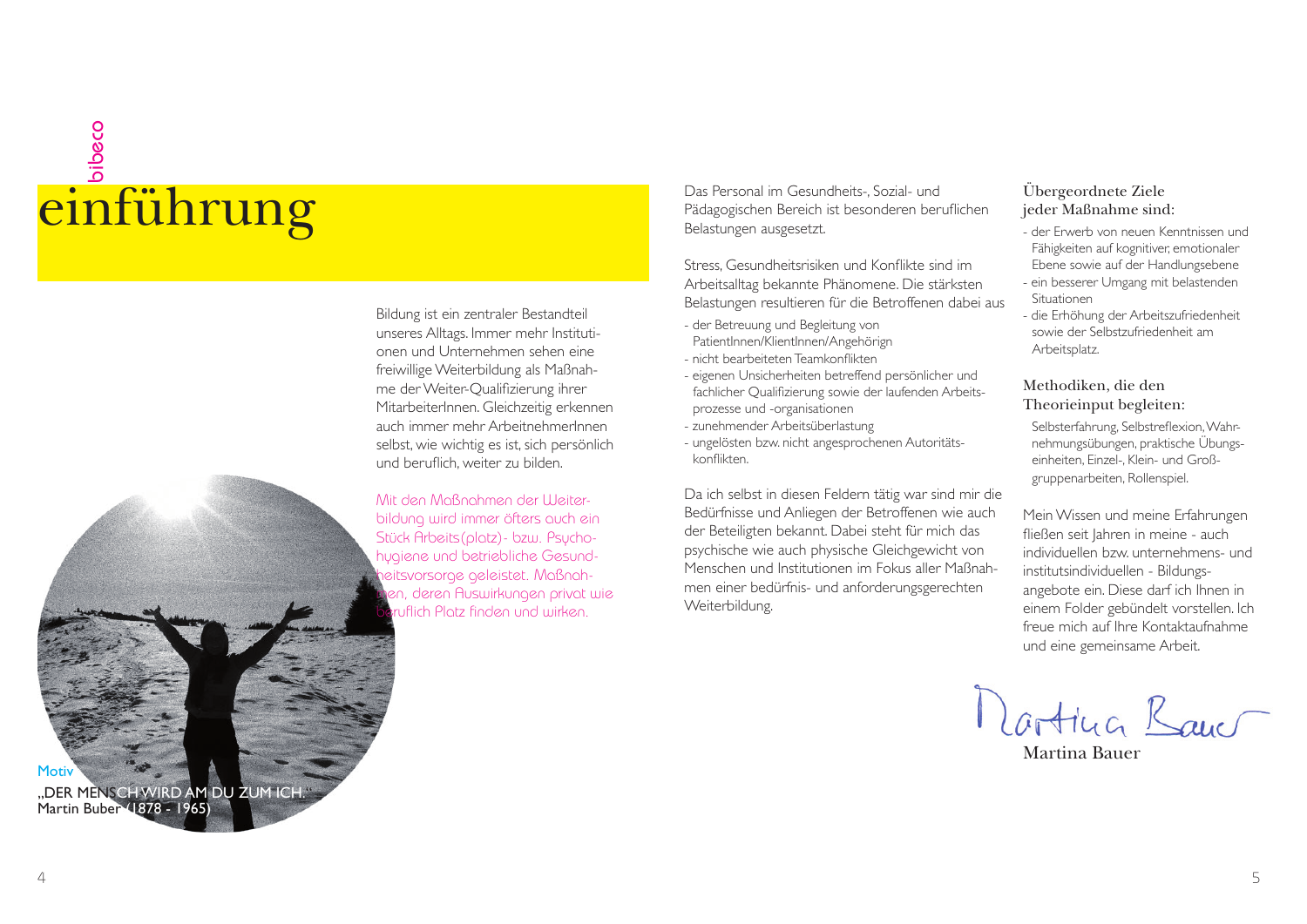## bibeco

Bildung ist ein zentraler Bestandteil unseres Alltags. Immer mehr Institutionen und Unternehmen sehen eine freiwillige Weiterbildung als Maßnahme der Weiter-Qualifizierung ihrer MitarbeiterInnen. Gleichzeitig erkennen auch immer mehr ArbeitnehmerInnen selbst, wie wichtig es ist, sich persönlich und beruflich, weiter zu bilden.

Mit den Maßnahmen der Weiterbildung wird immer öfters auch ein Stück Arbeits(platz)- bzw. Psychohygiene und betriebliche Gesundheitsvorsorge geleistet. Maßnahmen, deren Auswirkungen privat wie **a**ruflich Platz finden und wirken.

einführung Das Personal im Gesundheits-, Sozial- und Das Personal im Gesundheits-, Sozial- und Das Personal im Gesundheits-, Sozial- und Das Personal im Gesundheits-, Sozial- und Das Personal im Gesundheits-, Sozial- und D

Stress, Gesundheitsrisiken und Konflikte sind im Arbeitsalltag bekannte Phänomene. Die stärksten Belastungen resultieren für die Betroffenen dabei aus

- der Betreuung und Begleitung von PatientInnen/KlientInnen/Angehörign
- nicht bearbeiteten Teamkonflikten
- eigenen Unsicherheiten betreffend persönlicher und fachlicher Qualifizierung sowie der laufenden Arbeitsprozesse und -organisationen
- zunehmender Arbeitsüberlastung
- ungelösten bzw. nicht angesprochenen Autoritätskonflikten

Da ich selbst in diesen Feldern tätig war sind mir die Bedürfnisse und Anliegen der Betroffenen wie auch der Beteiligten bekannt. Dabei steht für mich das psychische wie auch physische Gleichgewicht von Menschen und Institutionen im Fokus aller Maßnahmen einer bedürfnis- und anforderungsgerechten Weiterbildung.

#### Übergeordnete Ziele jeder Maßnahme sind:

- der Erwerb von neuen Kenntnissen und Fähigkeiten auf kognitiver, emotionaler Ebene sowie auf der Handlungsebene
- ein besserer Umgang mit belastenden Situationen
- die Erhöhung der Arbeitszufriedenheit sowie der Selbstzufriedenheit am Arbeitsplatz.

#### Methodiken, die den Theorieinput begleiten:

Selbsterfahrung, Selbstreflexion, Wahrnehmungsübungen, praktische Übungseinheiten, Einzel-, Klein- und Großgruppenarbeiten, Rollenspiel.

Mein Wissen und meine Erfahrungen fließen seit lahren in meine - auch individuellen bzw. unternehmens- und institutsindividuellen - Bildungsangebote ein. Diese darf ich Ihnen in einem Folder gebündelt vorstellen. Ich freue mich auf Ihre Kontaktaufnahme und eine gemeinsame Arbeit.

Martina Banc

Martina Bauer



"DER MENSCH WIRD AM DU ZUM ICH." Martin Buber (1878 - 1965)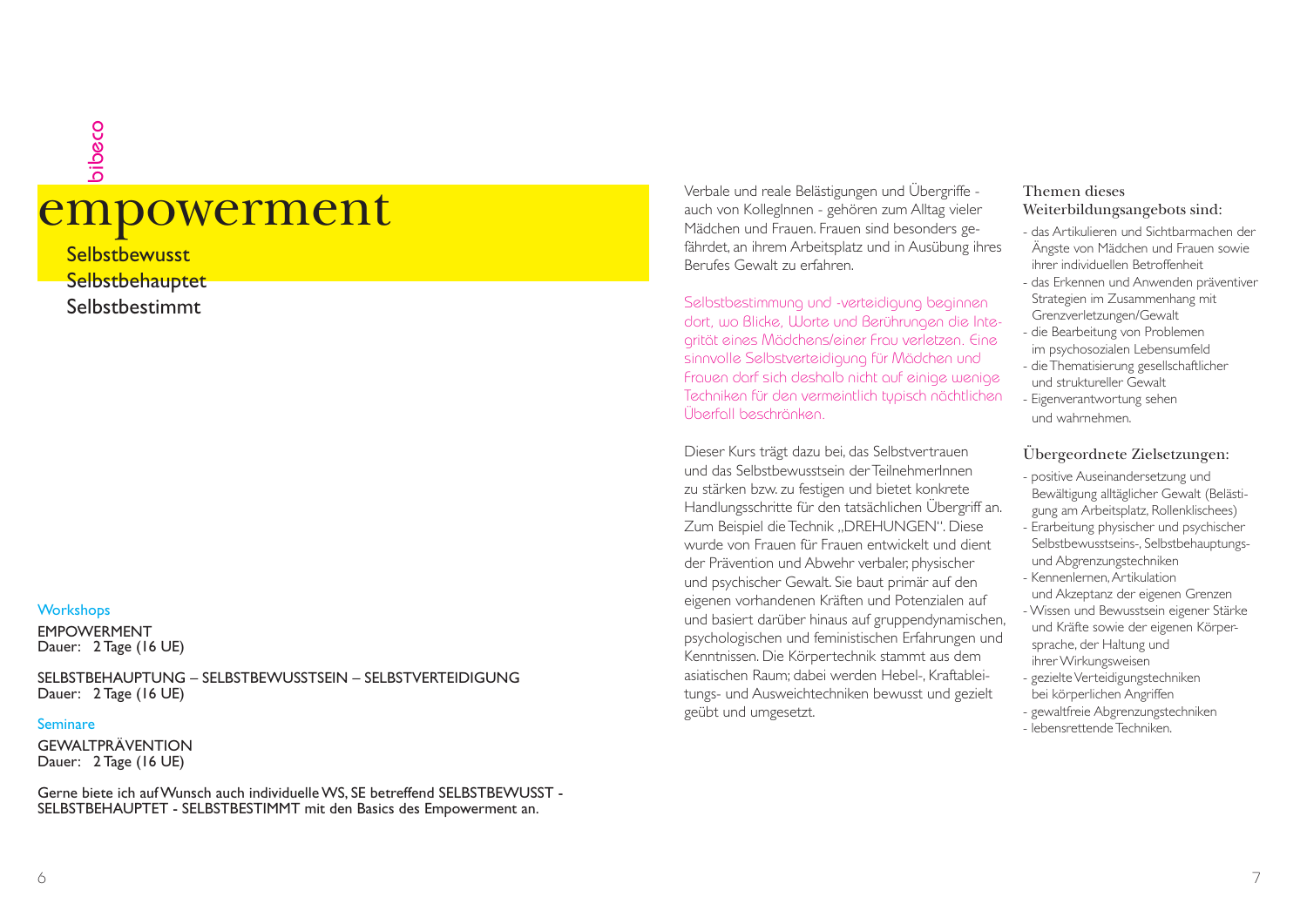### erbale und reale Belästigungen und Übergriffe - Werbale und reale Belästigungen und Übergriffe - Werbale und reale Belästigungen und Übergriffe - auch von KollegInnen - gehören zum Alltag vieler Mädchen und Frauen. Frauen bibeco

**Selbstbewusst Selbstbehauptet** Selbstbestimmt

#### **Workshops**

EMPOWERMENTDauer: 2 Tage (16 UE)

SELBSTBEHAUPTUNG – SELBSTBEWUSSTSEIN – SELBSTVERTEIDIGUNGDauer: 2 Tage (16 UE)

#### Seminare

**GEWALTPRÄVENTION** Dauer: 2 Tage (16 UE)

Gerne biete ich auf Wunsch auch individuelle WS, SE betreffend SELBSTBEWUSST - SELBSTBEHAUPTET - SELBSTBESTIMMT mit den Basics des Empowerment an.

fährdet, an ihrem Arbeitsplatz und in Ausübung ihres Berufes Gewalt zu erfahren.

Selbstbestimmung und -verteidigung beginnen dort, wo Blicke, Worte und Berührungen die Integrität eines Mädchens/einer Frau verletzen. Eine sinnvolle Selbstverteidigung für Mädchen und Frauen darf sich deshalb nicht auf einige wenige Techniken für den vermeintlich typisch nächtlichen Überfall beschränken.

Dieser Kurs trägt dazu bei, das Selbstvertrauen und das Selbstbewusstsein der TeilnehmerInnen zu stärken bzw. zu festigen und bietet konkrete Handlungsschritte für den tatsächlichen Übergriff an. Zum Beispiel die Technik "DREHUNGEN". Diese wurde von Frauen für Frauen entwickelt und dient der Prävention und Abwehr verbaler, physischer und psychischer Gewalt. Sie baut primär auf den eigenen vorhandenen Kräften und Potenzialen auf und basiert darüber hinaus auf gruppendynamischen, psychologischen und feministischen Erfahrungen und Kenntnissen. Die Körpertechnik stammt aus dem asiatischen Raum; dabei werden Hebel-, Kraftableitungs- und Ausweichtechniken bewusst und gezielt geübt und umgesetzt.

#### Themen diesesWeiterbildungsangebots sind:

- das Artikulieren und Sichtbarmachen der Ängste von Mädchen und Frauen sowie ihrer individuellen Betroffenheit
- das Erkennen und Anwenden präventiver Strategien im Zusammenhang mit Grenzverletzungen/Gewalt
- die Bearbeitung von Problemen im psychosozialen Lebensumfeld
- die Thematisierung gesellschaftlicher und struktureller Gewalt
- Eigenverantwortung sehen und wahrnehmen.

#### Übergeordnete Zielsetzungen:

- positive Auseinandersetzung und Bewältigung alltäglicher Gewalt (Belästigung am Arbeitsplatz, Rollenklischees)
- Erarbeitung physischer und psychischer Selbstbewusstseins-, Selbstbehauptungsund Abgrenzungstechniken
- Kennenlernen, Artikulation und Akzeptanz der eigenen Grenzen
- Wissen und Bewusstsein eigener Stärke und Kräfte sowie der eigenen Körpersprache, der Haltung und ihrer Wirkungsweisen
- gezielte Verteidigungstechniken bei körperlichen Angriffen
- gewaltfreie Abgrenzungstechniken
- lebensrettende Techniken.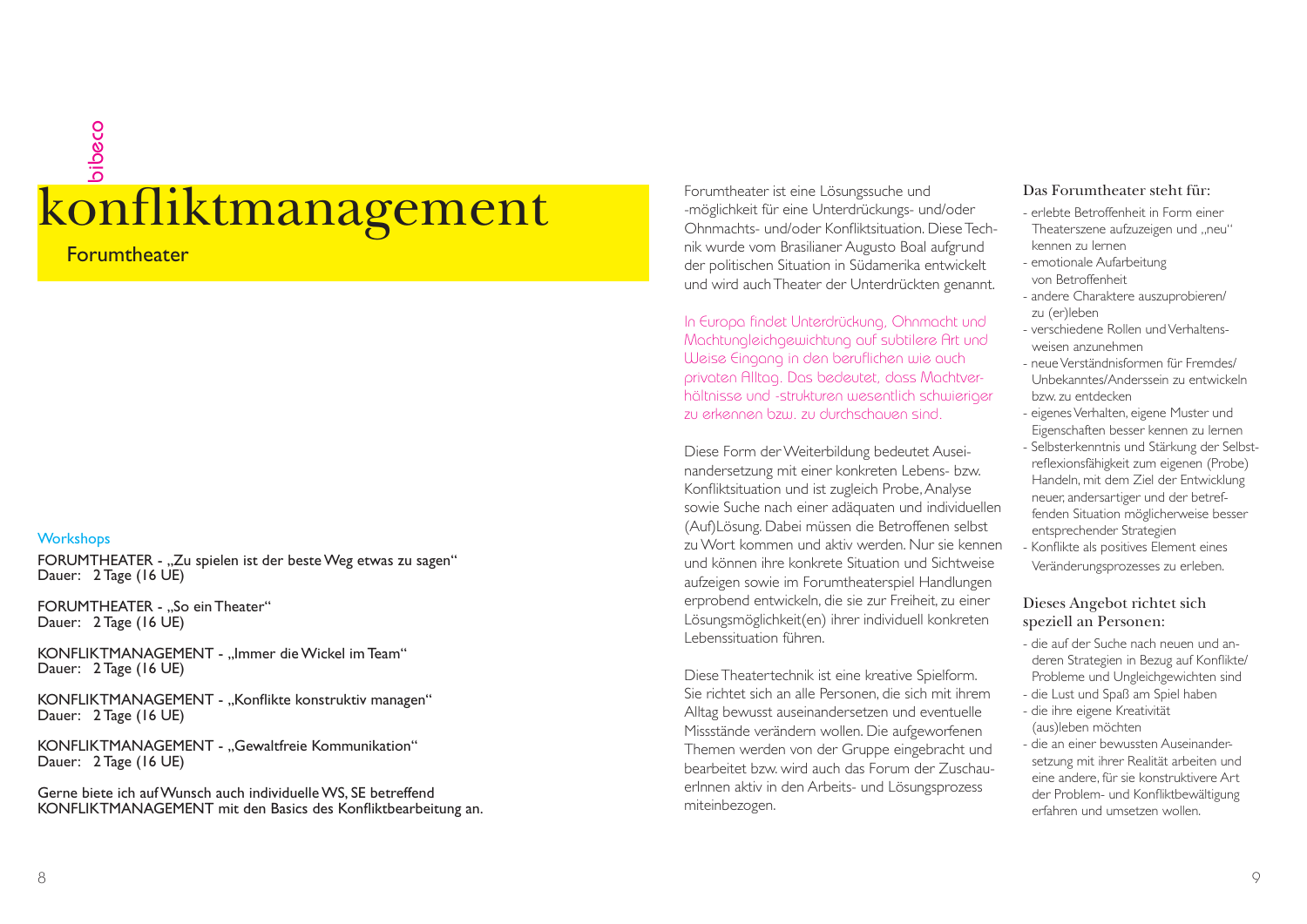### Konfliktmanagement Forumtheater ist eine Lösungssuche und Forumtheater ist eine Lösungssuche und der Enterdrückungs- und/oder Konfliktsituation. Diese Techbibeco

**Forumtheater** 

#### **Workshops**

FORUMTHEATER - "Zu spielen ist der beste Weg etwas zu sagen" Dauer: 2 Tage (16 UE)

FORUMTHEATER - ..So ein Theater" Dauer: 2 Tage (16 UE)

KONFLIKTMANAGEMENT - "Immer die Wickel im Team" Dauer: 2 Tage (16 UE)

KONFLIKTMANAGEMENT - "Konflikte konstruktiv managen" Dauer: 2 Tage (16 UE)

KONFLIKTMANAGEMENT - ..Gewaltfreie Kommunikation" Dauer: 2 Tage (16 UE)

Gerne biete ich auf Wunsch auch individuelle WS, SE betreffend KONFLIKTMANAGEMENT mit den Basics des Konfliktbearbeitung an. nik wurde vom Brasilianer Augusto Boal aufgrund der politischen Situation in Südamerika entwickelt und wird auch Theater der Unterdrückten genannt.

In Europa findet Unterdrückung, Ohnmacht und Machtungleichgewichtung auf subtilere Art und Weise Eingang in den beruflichen wie auch privaten Alltag. Das bedeutet, dass Machtverhältnisse und -strukturen wesentlich schwieriger zu erkennen bzw. zu durchschauen sind.

Diese Form der Weiterbildung bedeutet Auseinandersetzung mit einer konkreten Lebens- bzw. Konfliktsituation und ist zugleich Probe, Analyse sowie Suche nach einer adäquaten und individuellen (Auf)Lösung. Dabei müssen die Betroffenen selbst zu Wort kommen und aktiv werden. Nur sie kennen und können ihre konkrete Situation und Sichtweise aufzeigen sowie im Forumtheaterspiel Handlungen erprobend entwickeln, die sie zur Freiheit, zu einer Lösungsmöglichkeit(en) ihrer individuell konkreten Lebenssituation führen.

Diese Theatertechnik ist eine kreative Spielform. Sie richtet sich an alle Personen, die sich mit ihrem Alltag bewusst auseinandersetzen und eventuelle Missstände verändern wollen. Die aufgeworfenen Themen werden von der Gruppe eingebracht und bearbeitet bzw. wird auch das Forum der ZuschauerInnen aktiv in den Arbeits- und Lösungsprozess miteinbezogen.

#### Das Forumtheater steht für:

- erlebte Betroffenheit in Form einer Theaterszene aufzuzeigen und "neu" kennen zu lernen
- emotionale Aufarbeitung von Betroffenheit
- andere Charaktere auszuprobieren/ zu (er)leben
- verschiedene Rollen und Verhaltensweisen anzunehmen
- neue Verständnisformen für Fremdes/ Unbekanntes/Anderssein zu entwickeln bzw. zu entdecken
- eigenes Verhalten, eigene Muster und Eigenschaften besser kennen zu lernen
- Selbsterkenntnis und Stärkung der Selbstreflexionsfähigkeit zum eigenen (Probe) Handeln, mit dem Ziel der Entwicklung neuer, andersartiger und der betreffenden Situation möglicherweise besser entsprechender Strategien
- Konflikte als positives Element eines Veränderungsprozesses zu erleben.

#### Dieses Angebot richtet sich speziell an Personen:

- die auf der Suche nach neuen und anderen Strategien in Bezug auf Konflikte/ Probleme und Ungleichgewichten sind
- die Lust und Spaß am Spiel haben
- die ihre eigene Kreativität (aus)leben möchten
- die an einer bewussten Auseinandersetzung mit ihrer Realität arbeiten und eine andere, für sie konstruktivere Art der Problem- und Konfliktbewältigung erfahren und umsetzen wollen.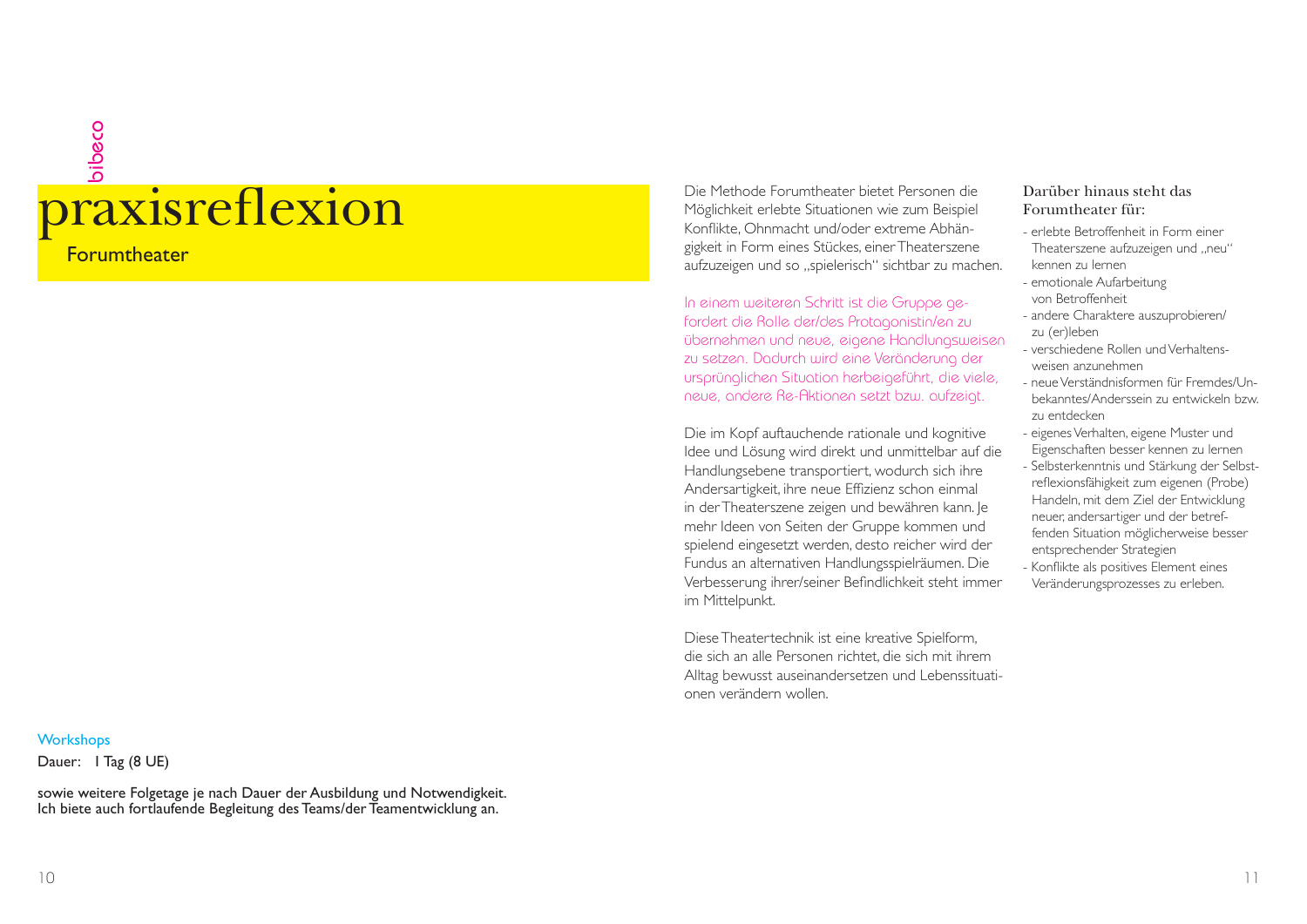## praxisreflexion Die Methode Forumtheater bietet Personen die Möglichkeit erlebte Situationen wie zum Beispiel<br>Konflikte, Ohnmacht und/oder extreme Abhänbibeco

**Forumtheater** 

#### **Workshops**

Dauer: I Tag (8 UE)

sowie weitere Folgetage je nach Dauer der Ausbildung und Notwendigkeit. Ich biete auch fortlaufende Begleitung des Teams/der Teamentwicklung an.

gigkeit in Form eines Stückes, einer Theaterszene aufzuzeigen und so "spielerisch" sichtbar zu machen.

In einem weiteren Schritt ist die Gruppe gefordert die Rolle der/des Protagonistin/en zu übernehmen und neue, eigene Handlungsweisen zu setzen. Dadurch wird eine Veränderung der ursprünglichen Situation herbeigeführt, die viele, neue, andere Re-Aktionen setzt bzw. aufzeigt.

Die im Kopf auftauchende rationale und kognitive Idee und Lösung wird direkt und unmittelbar auf die Handlungsebene transportiert, wodurch sich ihre Andersartigkeit, ihre neue Effizienz schon einmal in der Theaterszene zeigen und bewähren kann. Je mehr Ideen von Seiten der Gruppe kommen und spielend eingesetzt werden, desto reicher wird der Fundus an alternativen Handlungsspielräumen. Die Verbesserung ihrer/seiner Befindlichkeit steht immer im Mittelpunkt.

Diese Theatertechnik ist eine kreative Spielform, die sich an alle Personen richtet, die sich mit ihrem Alltag bewusst auseinandersetzen und Lebenssituationen verändern wollen.

#### Darüber hinaus steht dasForumtheater für:

- erlebte Betroffenheit in Form einerTheaterszene aufzuzeigen und "neu" kennen zu lernen
- emotionale Aufarbeitung von Betroffenheit
- andere Charaktere auszuprobieren/ zu (er)leben
- verschiedene Rollen und Verhaltensweisen anzunehmen
- neue Verständnisformen für Fremdes/Unbekanntes/Anderssein zu entwickeln bzw. zu entdecken
- eigenes Verhalten, eigene Muster und Eigenschaften besser kennen zu lernen
- Selbsterkenntnis und Stärkung der Selbstreflexionsfähigkeit zum eigenen (Probe) Handeln, mit dem Ziel der Entwicklung neuer, andersartiger und der betreffenden Situation möglicherweise besser entsprechender Strategien
- Konflikte als positives Element eines Veränderungsprozesses zu erleben.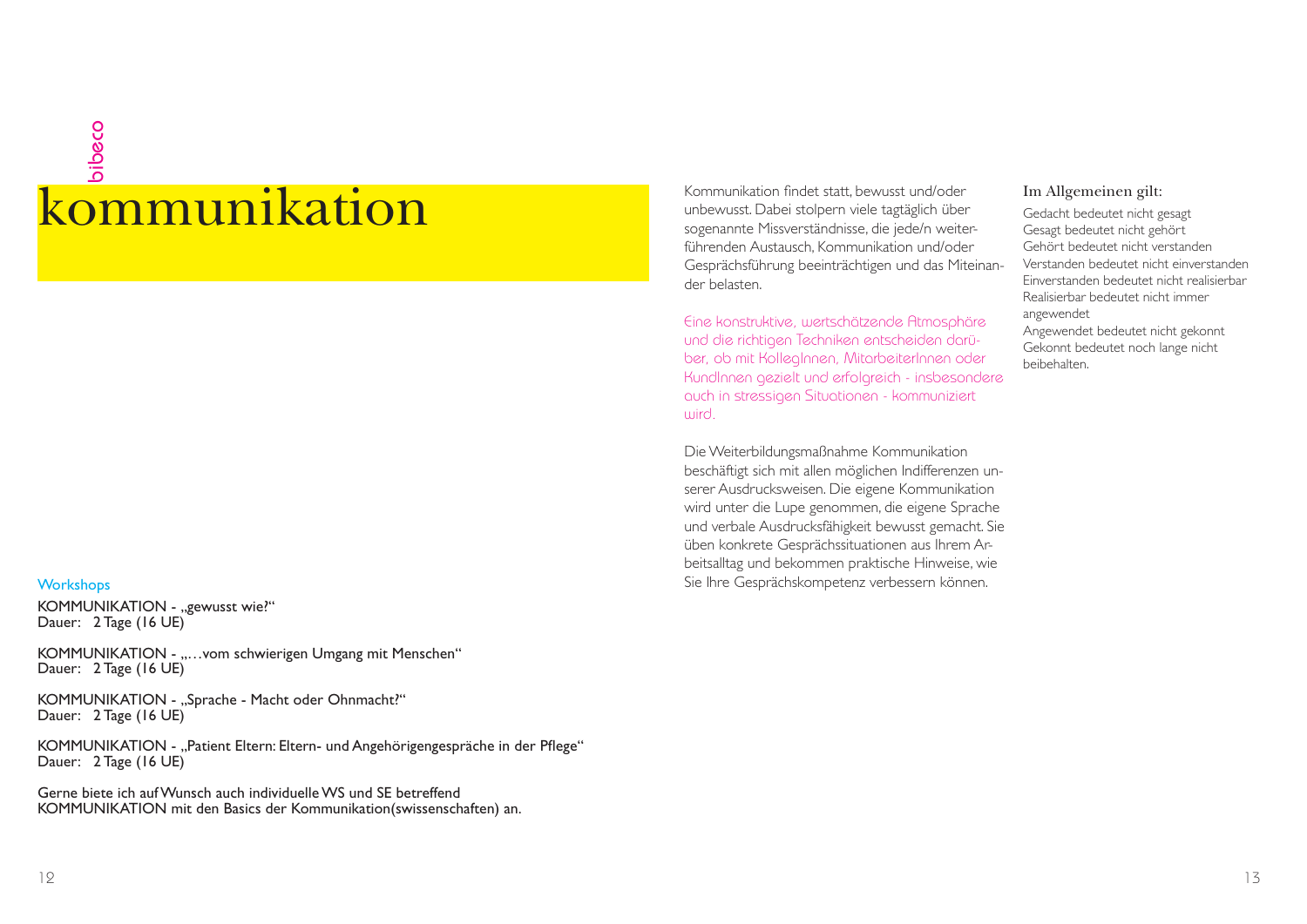### kommunikationbibeco

#### **Workshops**

KOMMUNIKATION - "gewusst wie?" Dauer: 2 Tage (16 UE)

KOMMUNIKATION - "...vom schwierigen Umgang mit Menschen" Dauer: 2 Tage (16 UE)

KOMMUNIKATION - "Sprache - Macht oder Ohnmacht?" Dauer: 2 Tage (16 UE)

KOMMUNIKATION - "Patient Eltern: Eltern- und Angehörigengespräche in der Pflege" Dauer: 2 Tage (16 UE)

Gerne biete ich auf Wunsch auch individuelle WS und SE betreffendKOMMUNIKATION mit den Basics der Kommunikation(swissenschaften) an. Kommunikation findet statt, bewusst und/oder<br>unbewusst. Dabei stolpern viele tagtäglich über<br>sogenannte Missverständnisse, die jede/n weiterführenden Austausch, Kommunikation und/oder Gesprächsführung beeinträchtigen und das Miteinander belasten.

Eine konstruktive, wertschätzende Atmosphäre und die richtigen Techniken entscheiden darüber, ob mit KollegInnen, MitarbeiterInnen oder KundInnen gezielt und erfolgreich - insbesondere auch in stressigen Situationen - kommuniziert wird.

Die Weiterbildungsmaßnahme Kommunikation beschäftigt sich mit allen möglichen Indifferenzen unserer Ausdrucksweisen. Die eigene Kommunikation wird unter die Lupe genommen, die eigene Sprache und verbale Ausdrucksfähigkeit bewusst gemacht. Sie üben konkrete Gesprächssituationen aus Ihrem Arbeitsalltag und bekommen praktische Hinweise, wie Sie Ihre Gesprächskompetenz verbessern können.

#### Im Allgemeinen gilt:

Gedacht bedeutet nicht gesagt Gesagt bedeutet nicht gehört Gehört bedeutet nicht verstanden Verstanden bedeutet nicht einverstandenEinverstanden bedeutet nicht realisierbarRealisierbar bedeutet nicht immerangewendet Angewendet bedeutet nicht gekonnt Gekonnt bedeutet noch lange nicht beibehalten.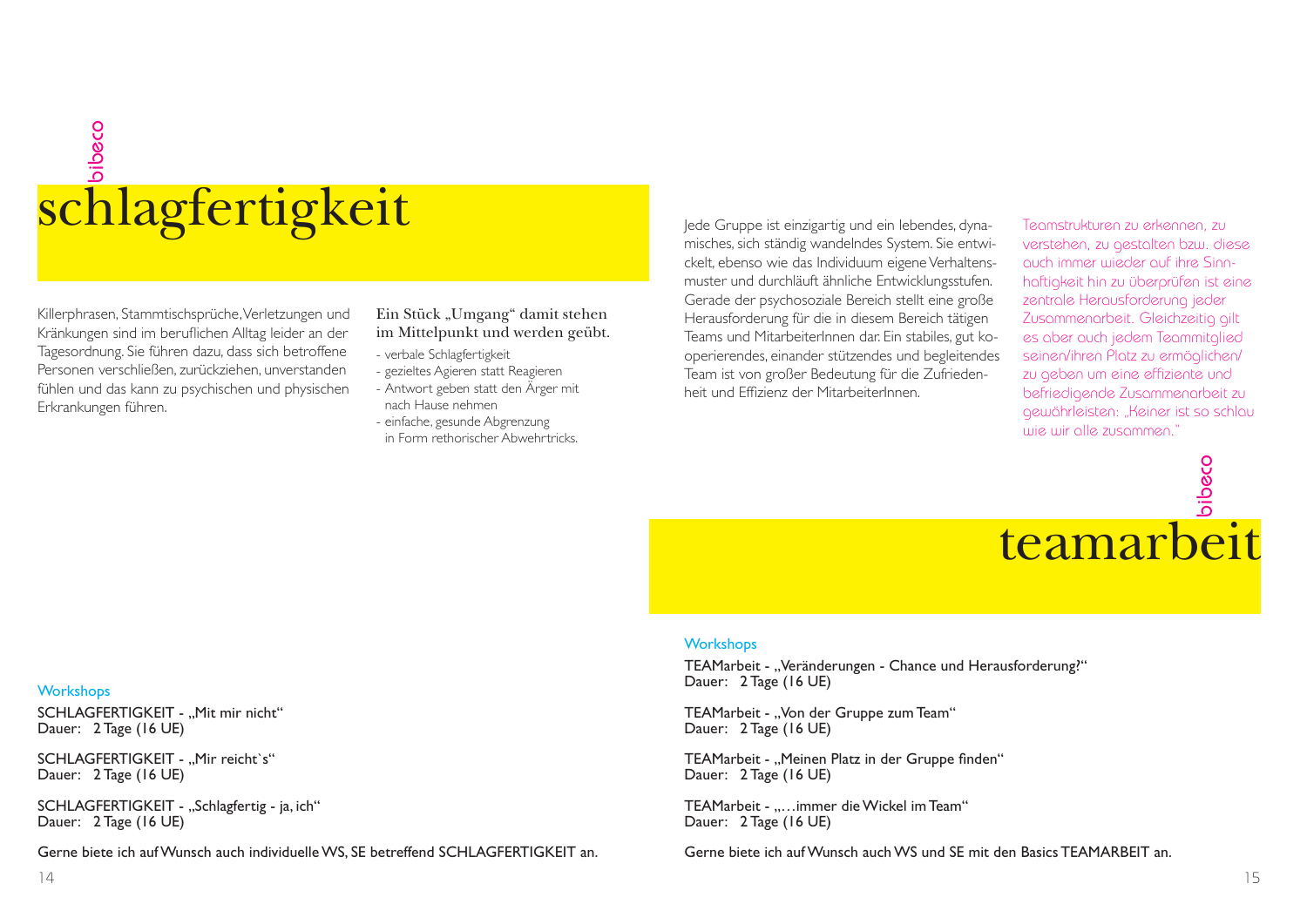### bibeco schlagfertigkeit

Killerphrasen, Stammtischsprüche, Verletzungen und Kränkungen sind im beruflichen Alltag leider an der Tagesordnung. Sie führen dazu, dass sich betroffene Personen verschließen, zurückziehen, unverstanden fühlen und das kann zu psychischen und physischen Erkrankungen führen.

Ein Stück "Umgang" damit stehen im Mittelpunkt und werden geübt.

- verbale Schlagfertigkeit
- gezieltes Agieren statt Reagieren
- Antwort geben statt den Ärger mit nach Hause nehmen
- einfache, gesunde Abgrenzung in Form rethorischer Abwehrtricks.

Jede Gruppe ist einzigartig und ein lebendes, dynamisches, sich ständig wandelndes System. Sie entwickelt, ebenso wie das Individuum eigene Verhaltensmuster und durchläuft ähnliche Entwicklungsstufen. Gerade der psychosoziale Bereich stellt eine große Herausforderung für die in diesem Bereich tätigen Teams und MitarbeiterInnen dar. Ein stabiles, gut kooperierendes, einander stützendes und begleitendes Team ist von großer Bedeutung für die Zufriedenheit und Effizienz der MitarbeiterInnen.

Teamstrukturen zu erkennen, zu verstehen, zu gestalten bzw. diese auch immer wieder auf ihre Sinnhaftigkeit hin zu überprüfen ist eine zentrale Herausforderung jeder Zusammenarbeit. Gleichzeitig gilt es aber auch jedem Teammitglied seinen/ihren Platz zu ermöglichen/ zu geben um eine effiziente und befriedigende Zusammenarbeit zu gewährleisten: "Keiner ist so schlau wie wir alle zusammen."



#### **Workshops**

TEAMarbeit - "Veränderungen - Chance und Herausforderung?" Dauer: 2 Tage (16 UE)

TEAMarbeit - "Von der Gruppe zum Team" Dauer: 2 Tage (16 UE)

TEAMarbeit - "Meinen Platz in der Gruppe finden" Dauer: 2 Tage (16 UE)

TEAMarbeit - .....immer die Wickel im Team" Dauer: 2 Tage (16 UE)

Gerne biete ich auf Wunsch auch WS und SE mit den Basics TEAMARBEIT an.

#### **Workshops**

SCHLAGFERTIGKEIT - ..Mit mir nicht" Dauer: 2 Tage (16 UE)

SCHLAGFERTIGKEIT - "Mir reicht`s" Dauer: 2 Tage (16 UE)

SCHLAGFERTIGKEIT - "Schlagfertig - ja, ich" Dauer: 2 Tage (16 UE)

Gerne biete ich auf Wunsch auch individuelle WS, SE betreffend SCHLAGFERTIGKEIT an.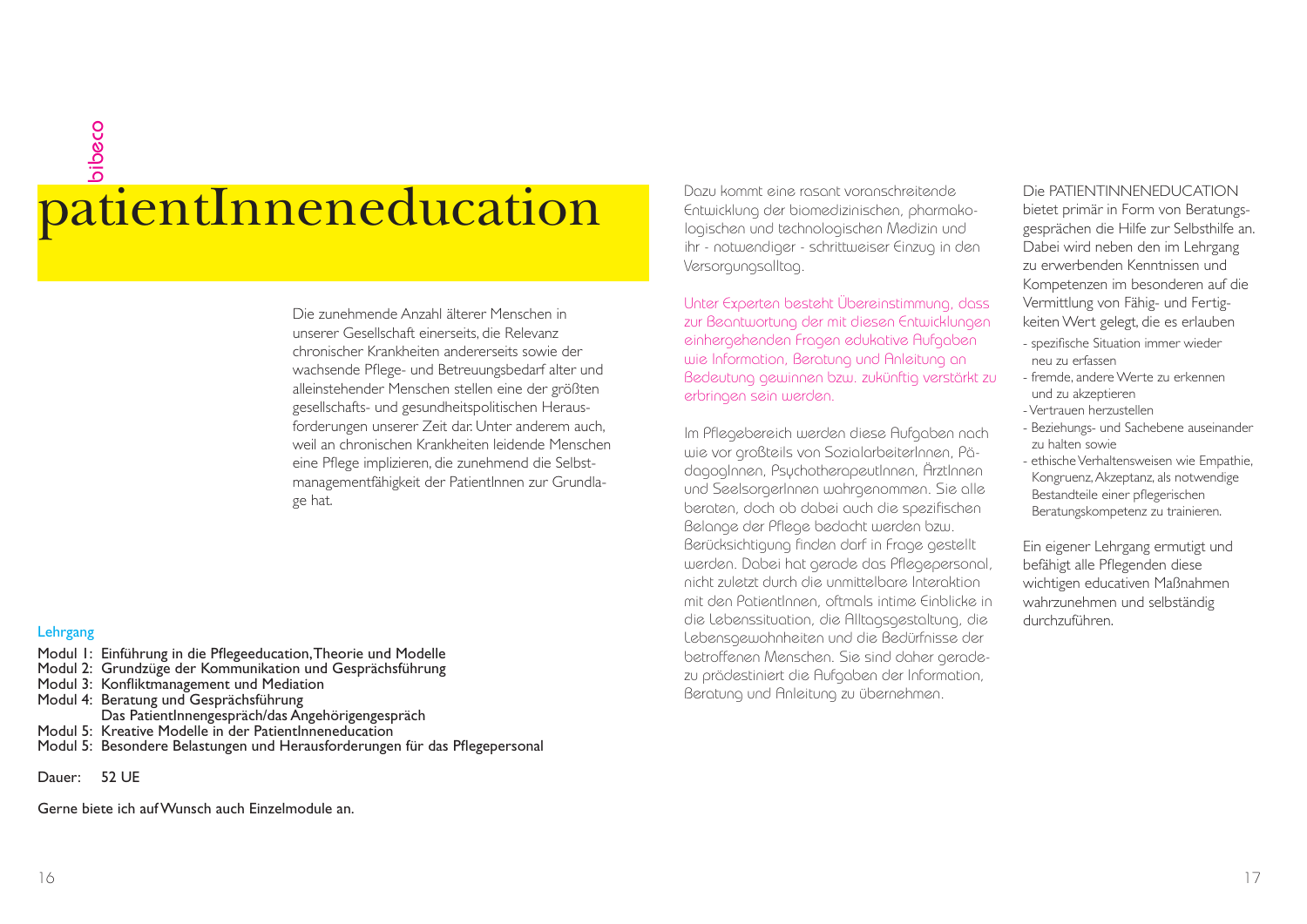### patientInneneducation bibeco

Die zunehmende Anzahl älterer Menschen in unserer Gesellschaft einerseits, die Relevanz chronischer Krankheiten andererseits sowie der wachsende Pflege- und Betreuungsbedarf alter und alleinstehender Menschen stellen eine der größten gesellschafts- und gesundheitspolitischen Herausforderungen unserer Zeit dar. Unter anderem auch, weil an chronischen Krankheiten leidende Menschen eine Pflege implizieren, die zunehmend die Selbstmanagementfähigkeit der PatientInnen zur Grundlage hat.

#### **Lehrgang**

- Modul 1: Einführung in die Pflegeeducation, Theorie und Modelle Modul 2: Grundzüge der Kommunikation und Gesprächsführung Modul 3: Konfliktmanagement und Mediation Modul 4: Beratung und Gesprächsführung Das PatientInnengespräch/das Angehörigengespräch Modul 5: Kreative Modelle in der PatientInneneducation Modul 5: Besondere Belastungen und Herausforderungen für das Pflegepersonal
- Dauer: 52 UE

Gerne biete ich auf Wunsch auch Einzelmodule an.

Dazu kommt eine rasant voranschreitende Entwicklung der biomedizinischen, pharmakologischen und technologischen Medizin und ihr - notwendiger - schrittweiser Einzug in den Versorgungsalltag.

Unter Experten besteht Übereinstimmung, dass zur Beantwortung der mit diesen Entwicklungen einhergehenden Fragen edukative Aufgaben wie Information, Beratung und Anleitung an Bedeutung gewinnen bzw. zukünftig verstärkt zu erbringen sein werden.

Im Pflegebereich werden diese Aufgaben nach wie vor großteils von SozialarbeiterInnen, PädagogInnen, PsychotherapeutInnen, ÄrztInnen und SeelsorgerInnen wahrgenommen. Sie alle beraten, doch ob dabei auch die spezifi schen Belange der Pflege bedacht werden bzw. Berücksichtigung finden darf in Frage gestellt werden. Dabei hat gerade das Pflegepersonal, nicht zuletzt durch die unmittelbare Interaktion mit den PatientInnen, oftmals intime Einblicke in die Lebenssituation, die Alltagsgestaltung, die Lebensgewohnheiten und die Bedürfnisse der betroffenen Menschen. Sie sind daher geradezu prädestiniert die Aufgaben der Information, Beratung und Anleitung zu übernehmen.

#### Die PATIENTINNENEDUCATION

bietet primär in Form von Beratungsgesprächen die Hilfe zur Selbsthilfe an. Dabei wird neben den im Lehrgang zu erwerbenden Kenntnissen und Kompetenzen im besonderen auf die Vermittlung von Fähig- und Fertigkeiten Wert gelegt, die es erlauben

- spezifische Situation immer wieder neu zu erfassen
- fremde, andere Werte zu erkennen und zu akzeptieren
- Vertrauen herzustellen
- Beziehungs- und Sachebene auseinander zu halten sowie
- ethische Verhaltensweisen wie Empathie, Kongruenz, Akzeptanz, als notwendige Bestandteile einer pflegerischen Beratungskompetenz zu trainieren.

Ein eigener Lehrgang ermutigt und befähigt alle Pflegenden diese wichtigen educativen Maßnahmen wahrzunehmen und selbständig durchzuführen.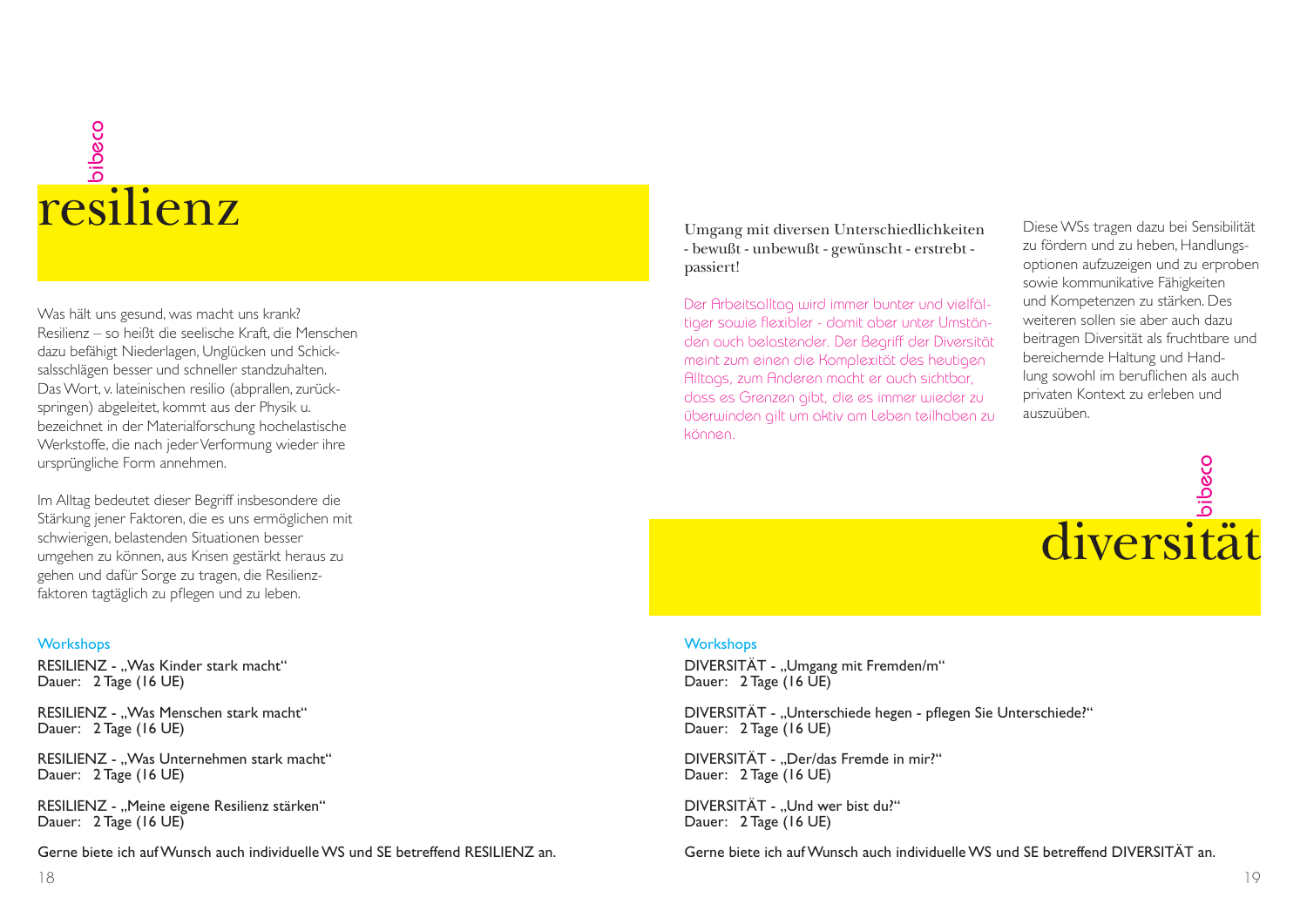### resilienz bibeco

Was hält uns gesund, was macht uns krank? Resilienz – so heißt die seelische Kraft, die Menschen dazu befähigt Niederlagen, Unglücken und Schicksalsschlägen besser und schneller standzuhalten. Das Wort, v. lateinischen resilio (abprallen, zurückspringen) abgeleitet, kommt aus der Physik u. bezeichnet in der Materialforschung hochelastische Werkstoffe, die nach jeder Verformung wieder ihre ursprüngliche Form annehmen.

Im Alltag bedeutet dieser Begriff insbesondere die Stärkung jener Faktoren, die es uns ermöglichen mit schwierigen, belastenden Situationen besser umgehen zu können, aus Krisen gestärkt heraus zu gehen und dafür Sorge zu tragen, die Resilienzfaktoren tagtäglich zu pflegen und zu leben.

#### **Workshops**

RESILIENZ - "Was Kinder stark macht" Dauer: 2 Tage (16 UE)

RESILIENZ - "Was Menschen stark macht" Dauer: 2 Tage (16 UE)

RESILIENZ - ..Was Unternehmen stark macht" Dauer: 2 Tage (16 UE)

RESILIENZ - "Meine eigene Resilienz stärken" Dauer: 2 Tage (16 UE)

Gerne biete ich auf Wunsch auch individuelle WS und SE betreffend RESILIENZ an.

Umgang mit diversen Unterschiedlichkeiten - bewußt - unbewußt - gewünscht - erstrebt passiert!

Der Arbeitsalltag wird immer bunter und vielfältiger sowie flexibler - damit aber unter Umständen auch belastender. Der Begriff der Diversität meint zum einen die Komplexität des heutigen Alltags, zum Anderen macht er auch sichtbar, dass es Grenzen gibt, die es immer wieder zu überwinden gilt um aktiv am Leben teilhaben zu können.

Diese WSs tragen dazu bei Sensibilität zu fördern und zu heben, Handlungsoptionen aufzuzeigen und zu erproben sowie kommunikative Fähigkeiten und Kompetenzen zu stärken. Des weiteren sollen sie aber auch dazu beitragen Diversität als fruchtbare und bereichernde Haltung und Handlung sowohl im beruflichen als auch privaten Kontext zu erleben und auszuüben.



#### **Workshops**

DIVERSITÄT - "Umgang mit Fremden/m" Dauer: 2 Tage (16 UE)

DIVERSITÄT - "Unterschiede hegen - pflegen Sie Unterschiede?" Dauer: 2 Tage (16 UE)

DIVERSITÄT - ..Der/das Fremde in mir?" Dauer: 2 Tage (16 UE)

DIVERSITÄT - "Und wer bist du?" Dauer: 2 Tage (16 UE)

Gerne biete ich auf Wunsch auch individuelle WS und SE betreffend DIVERSITÄT an.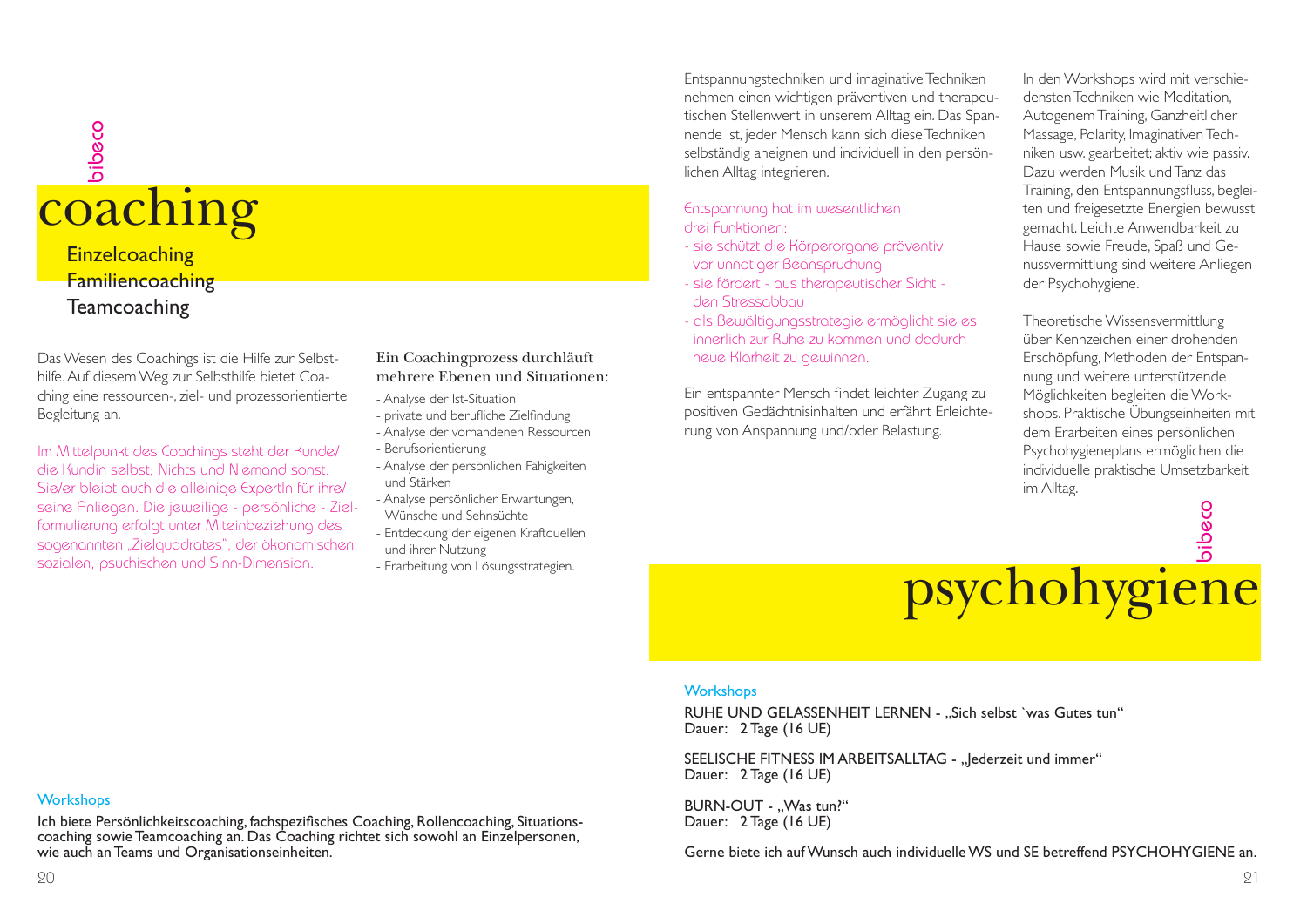### coaching bibeco **Einzelcoaching** Familiencoaching **Teamcoaching**

Das Wesen des Coachings ist die Hilfe zur Selbsthilfe. Auf diesem Weg zur Selbsthilfe bietet Coaching eine ressourcen-, ziel- und prozessorientierte Begleitung an.

Im Mittelpunkt des Coachings steht der Kunde/ die Kundin selbst; Nichts und Niemand sonst. Sie/er bleibt auch die alleinige ExpertIn für ihre/ seine Anliegen. Die jeweilige - persönliche - Zielformulierung erfolgt unter Miteinbeziehung des sogenannten "Zielquadrates", der ökonomischen, sozialen, psychischen und Sinn-Dimension.

#### Ein Coachingprozess durchläuft mehrere Ebenen und Situationen:

- Analyse der Ist-Situation
- private und berufliche Zielfindung
- Analyse der vorhandenen Ressourcen
- Berufsorientierung
- Analyse der persönlichen Fähigkeiten und Stärken
- Analyse persönlicher Erwartungen, Wünsche und Sehnsüchte
- 
- Entdeckung der eigenen Kraftquellen und ihrer Nutzung
- Erarbeitung von Lösungsstrategien.

Entspannungstechniken und imaginative Techniken nehmen einen wichtigen präventiven und therapeutischen Stellenwert in unserem Alltag ein. Das Spannende ist, jeder Mensch kann sich diese Techniken selbständig aneignen und individuell in den persönlichen Alltag integrieren.

#### Entspannung hat im wesentlichen drei Funktionen:

- sie schützt die Körperorgane präventiv vor unnötiger Beanspruchung
- sie fördert aus therapeutischer Sicht den Stressabbau
- als Bewältigungsstrategie ermöglicht sie es innerlich zur Ruhe zu kommen und dadurchneue Klarheit zu gewinnen.

Ein entspannter Mensch findet leichter Zugang zu positiven Gedächtnisinhalten und erfährt Erleichterung von Anspannung und/oder Belastung.

In den Workshops wird mit verschiedensten Techniken wie Meditation, Autogenem Training, Ganzheitlicher Massage, Polarity, Imaginativen Techniken usw. gearbeitet; aktiv wie passiv. Dazu werden Musik und Tanz das Training, den Entspannungsfluss, begleiten und freigesetzte Energien bewusst gemacht. Leichte Anwendbarkeit zu Hause sowie Freude, Spaß und Genussvermittlung sind weitere Anliegen der Psychohygiene.

Theoretische Wissensvermittlung über Kennzeichen einer drohenden Erschöpfung, Methoden der Entspannung und weitere unterstützende Möglichkeiten begleiten die Workshops. Praktische Übungseinheiten mit dem Erarbeiten eines persönlichen Psychohygieneplans ermöglichen die individuelle praktische Umsetzbarkeit im Alltag.



#### **Workshops**

RUHE UND GELASSENHEIT LERNEN - ..Sich selbst `was Gutes tun" Dauer: 2 Tage (16 UE)

SEELISCHE FITNESS IM ARBEITSALLTAG - "lederzeit und immer" Dauer: 2 Tage (16 UE)

BURN-OUT - ..Was tun?" Dauer: 2 Tage (16 UE)

Gerne biete ich auf Wunsch auch individuelle WS und SE betreffend PSYCHOHYGIENE an.

#### **Workshops**

Ich biete Persönlichkeitscoaching, fachspezifisches Coaching, Rollencoaching, Situationscoaching sowie Teamcoaching an. Das Coaching richtet sich sowohl an Einzelpersonen, wie auch an Teams und Organisationseinheiten.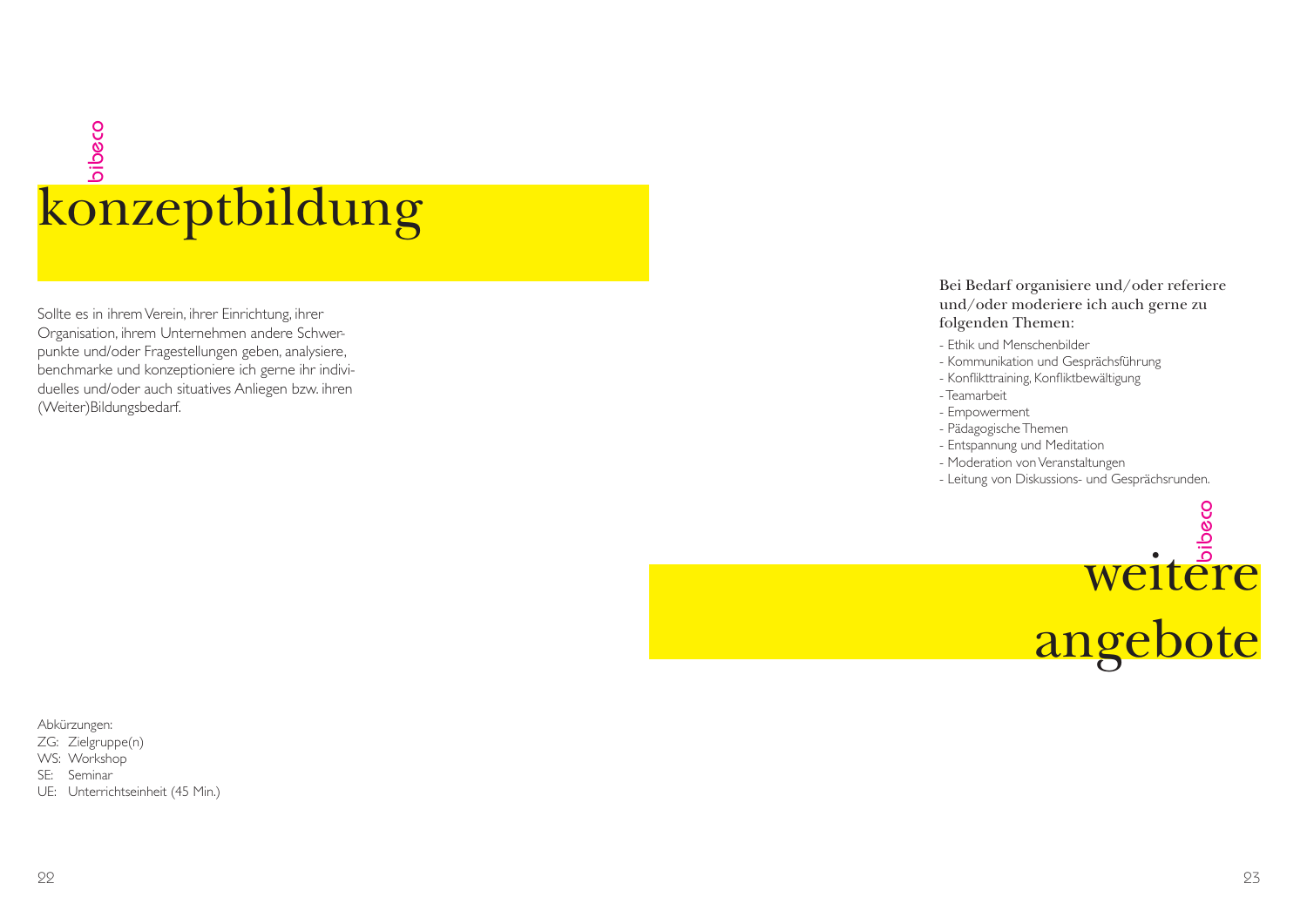## konzeptbildung bibeco

Sollte es in ihrem Verein, ihrer Einrichtung, ihrer Organisation, ihrem Unternehmen andere Schwerpunkte und/oder Fragestellungen geben, analysiere, benchmarke und konzeptioniere ich gerne ihr individuelles und/oder auch situatives Anliegen bzw. ihren (Weiter)Bildungsbedarf.

#### Bei Bedarf organisiere und/oder referiere und/oder moderiere ich auch gerne zu folgenden Themen:

- Ethik und Menschenbilder
- Kommunikation und Gesprächsführung
- Konflikttraining, Konfliktbewältigung
- Teamarbeit
- Empowerment
- Pädagogische Themen
- Entspannung und Meditation
- Moderation von Veranstaltungen
- Leitung von Diskussions- und Gesprächsrunden.



Abkürzungen:

- ZG: Zielgruppe(n)
- WS: Workshop
- SE: Seminar
- UE: Unterrichtseinheit (45 Min.)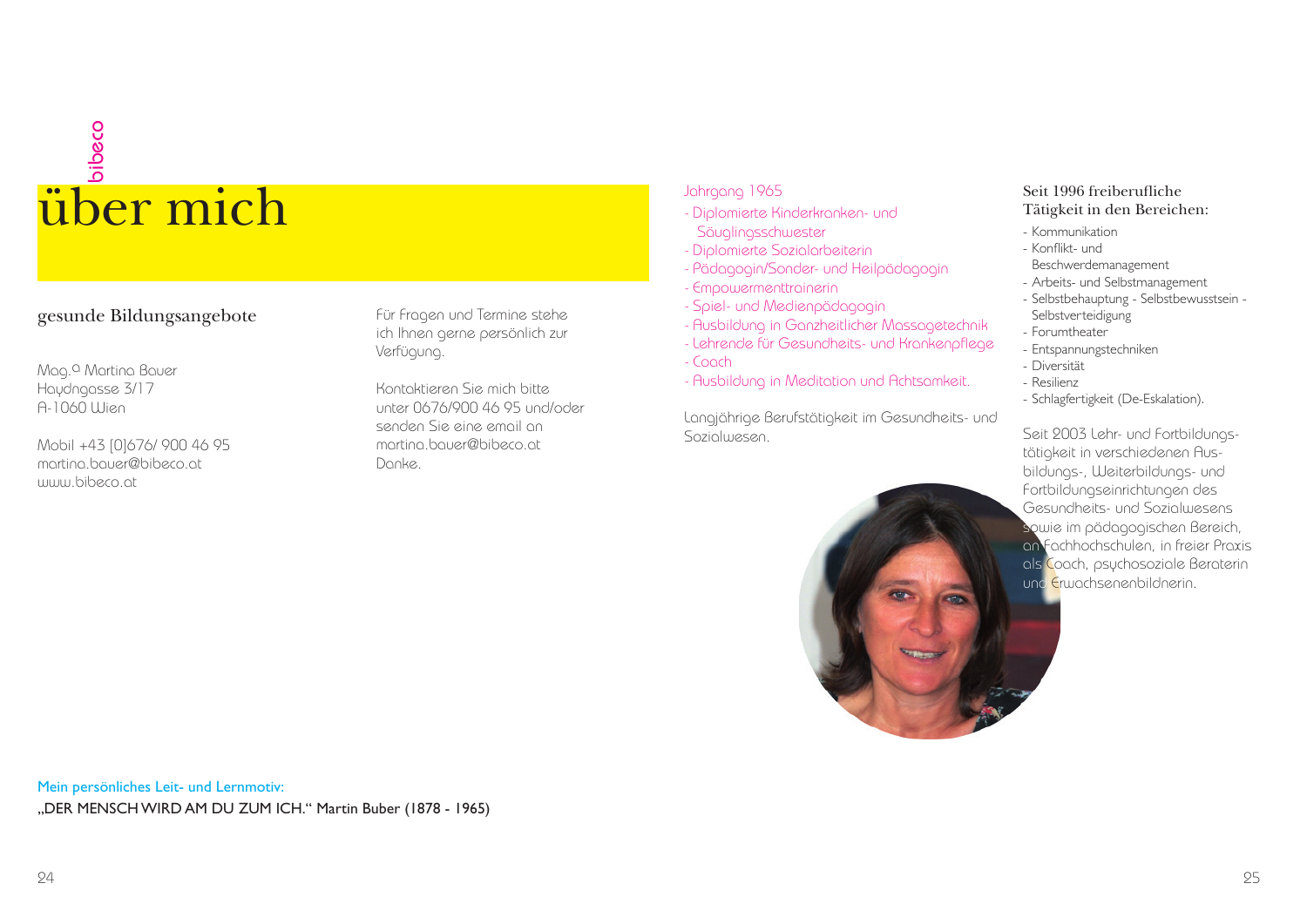## uber mich

#### gesunde Bildungsangebote

Mag.a Martina Bauer Haydngasse 3/17 A-1060 Wien

Mobil +43 [0]676/ 900 46 95 martina.bauer@bibeco.atwww.bibeco.at

Für Fragen und Termine stehe ich Ihnen gerne persönlich zur Verfügung.

Kontaktieren Sie mich bitteunter 0676/900 46 95 und/oder senden Sie eine email anmartina.bauer@bibeco.atDanke.

#### Jahrgang 1965

- Diplomierte Kinderkranken- und Säuglingsschwester
- Diplomierte Sozialarbeiterin
- Pädagogin/Sonder- und Heilpädagogin
- Empowermenttrainerin
- Spiel- und Medienpädagogin
- Ausbildung in Ganzheitlicher Massagetechnik
- Lehrende für Gesundheits- und Krankenpflege
- Coach
- Ausbildung in Meditation und Achtsamkeit.

Langjährige Berufstätigkeit im Gesundheits- und Sozialwesen



#### Seit 1996 freiberufliche Tätigkeit in den Bereichen:

- Kommunikation
- Konflikt- und
- Beschwerdemanagement - Arbeits- und Selbstmanagement
- Selbstbehauptung Selbstbewusstsein Selbstverteidigung
- Forumtheater
- Entspannungstechniken
- Diversität
- Resilienz
- Schlagfertigkeit (De-Eskalation).

Seit 2003 Lehr- und Fortbildungstätigkeit in verschiedenen Ausbildungs-, Weiterbildungs- und Fortbildungseinrichtungen des Gesundheits- und Sozialwesens sowie im pädagogischen Bereich, an Fachhochschulen, in freier Praxis als Coach, psychosoziale Beraterin und Erwachsenenbildnerin.

Mein persönliches Leit- und Lernmotiv: "DER MENSCH WIRD AM DU ZUM ICH." Martin Buber (1878 - 1965)